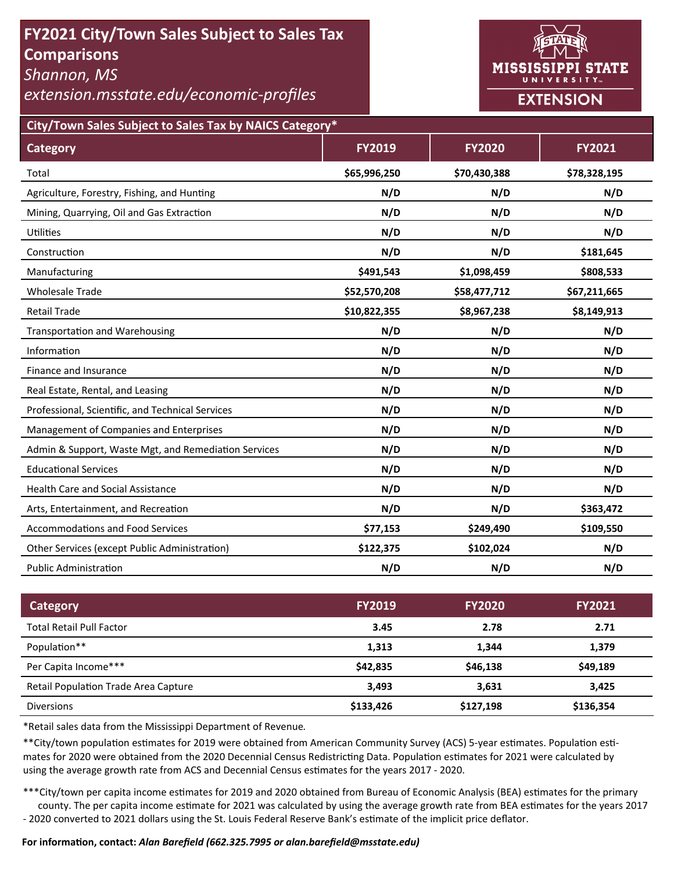# **FY2021 City/Town Sales Subject to Sales Tax Comparisons**

*Shannon, MS* 

*extension.msstate.edu/economic‐profiles* 



**City/Town Sales Subject to Sales Tax by NAICS Category\***

| <b>Category</b>                                      | <b>FY2019</b> | <b>FY2020</b> | <b>FY2021</b> |
|------------------------------------------------------|---------------|---------------|---------------|
| Total                                                | \$65,996,250  | \$70,430,388  | \$78,328,195  |
| Agriculture, Forestry, Fishing, and Hunting          | N/D           | N/D           | N/D           |
| Mining, Quarrying, Oil and Gas Extraction            | N/D           | N/D           | N/D           |
| <b>Utilities</b>                                     | N/D           | N/D           | N/D           |
| Construction                                         | N/D           | N/D           | \$181,645     |
| Manufacturing                                        | \$491,543     | \$1,098,459   | \$808,533     |
| <b>Wholesale Trade</b>                               | \$52,570,208  | \$58,477,712  | \$67,211,665  |
| <b>Retail Trade</b>                                  | \$10,822,355  | \$8,967,238   | \$8,149,913   |
| <b>Transportation and Warehousing</b>                | N/D           | N/D           | N/D           |
| Information                                          | N/D           | N/D           | N/D           |
| Finance and Insurance                                | N/D           | N/D           | N/D           |
| Real Estate, Rental, and Leasing                     | N/D           | N/D           | N/D           |
| Professional, Scientific, and Technical Services     | N/D           | N/D           | N/D           |
| Management of Companies and Enterprises              | N/D           | N/D           | N/D           |
| Admin & Support, Waste Mgt, and Remediation Services | N/D           | N/D           | N/D           |
| <b>Educational Services</b>                          | N/D           | N/D           | N/D           |
| <b>Health Care and Social Assistance</b>             | N/D           | N/D           | N/D           |
| Arts, Entertainment, and Recreation                  | N/D           | N/D           | \$363,472     |
| <b>Accommodations and Food Services</b>              | \$77,153      | \$249,490     | \$109,550     |
| Other Services (except Public Administration)        | \$122,375     | \$102,024     | N/D           |
| <b>Public Administration</b>                         | N/D           | N/D           | N/D           |

| Category                                    | <b>FY2019</b> | <b>FY2020</b> | <b>FY2021</b> |
|---------------------------------------------|---------------|---------------|---------------|
| <b>Total Retail Pull Factor</b>             | 3.45          | 2.78          | 2.71          |
| Population**                                | 1,313         | 1.344         | 1,379         |
| Per Capita Income***                        | \$42,835      | \$46,138      | \$49,189      |
| <b>Retail Population Trade Area Capture</b> | 3.493         | 3.631         | 3.425         |
| <b>Diversions</b>                           | \$133,426     | \$127,198     | \$136,354     |

\*Retail sales data from the Mississippi Department of Revenue*.* 

\*\*City/town population estimates for 2019 were obtained from American Community Survey (ACS) 5-year estimates. Population estimates for 2020 were obtained from the 2020 Decennial Census Redistricting Data. Population estimates for 2021 were calculated by using the average growth rate from ACS and Decennial Census estimates for the years 2017 - 2020.

\*\*\*City/town per capita income estimates for 2019 and 2020 obtained from Bureau of Economic Analysis (BEA) estimates for the primary county. The per capita income estimate for 2021 was calculated by using the average growth rate from BEA estimates for the years 2017 - 2020 converted to 2021 dollars using the St. Louis Federal Reserve Bank's estimate of the implicit price deflator.

#### **For informaƟon, contact:** *Alan Barefield (662.325.7995 or alan.barefield@msstate.edu)*